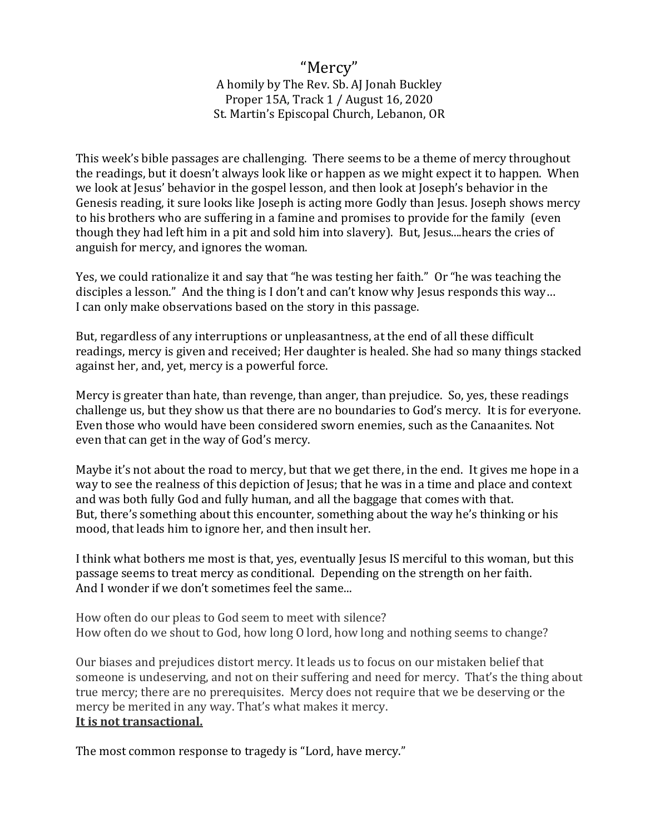## "Mercy" A homily by The Rev. Sb. AJ Jonah Buckley Proper 15A, Track 1 / August 16, 2020 St. Martin's Episcopal Church, Lebanon, OR

This week's bible passages are challenging. There seems to be a theme of mercy throughout the readings, but it doesn't always look like or happen as we might expect it to happen. When we look at Jesus' behavior in the gospel lesson, and then look at Joseph's behavior in the Genesis reading, it sure looks like Joseph is acting more Godly than Jesus. Joseph shows mercy to his brothers who are suffering in a famine and promises to provide for the family (even though they had left him in a pit and sold him into slavery). But, Jesus....hears the cries of anguish for mercy, and ignores the woman.

Yes, we could rationalize it and say that "he was testing her faith." Or "he was teaching the disciples a lesson." And the thing is I don't and can't know why Jesus responds this way… I can only make observations based on the story in this passage.

But, regardless of any interruptions or unpleasantness, at the end of all these difficult readings, mercy is given and received; Her daughter is healed. She had so many things stacked against her, and, yet, mercy is a powerful force.

Mercy is greater than hate, than revenge, than anger, than prejudice. So, yes, these readings challenge us, but they show us that there are no boundaries to God's mercy. It is for everyone. Even those who would have been considered sworn enemies, such as the Canaanites. Not even that can get in the way of God's mercy.

Maybe it's not about the road to mercy, but that we get there, in the end. It gives me hope in a way to see the realness of this depiction of Jesus; that he was in a time and place and context and was both fully God and fully human, and all the baggage that comes with that. But, there's something about this encounter, something about the way he's thinking or his mood, that leads him to ignore her, and then insult her.

I think what bothers me most is that, yes, eventually Jesus IS merciful to this woman, but this passage seems to treat mercy as conditional. Depending on the strength on her faith. And I wonder if we don't sometimes feel the same...

How often do our pleas to God seem to meet with silence? How often do we shout to God, how long O lord, how long and nothing seems to change?

Our biases and prejudices distort mercy. It leads us to focus on our mistaken belief that someone is undeserving, and not on their suffering and need for mercy. That's the thing about true mercy; there are no prerequisites. Mercy does not require that we be deserving or the mercy be merited in any way. That's what makes it mercy. **It is not transactional.** 

The most common response to tragedy is "Lord, have mercy."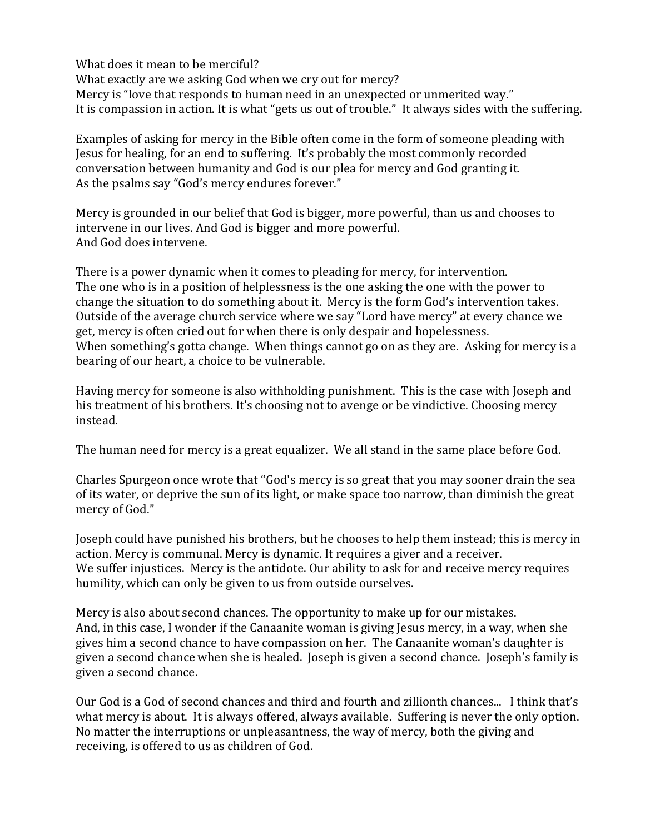What does it mean to be merciful? What exactly are we asking God when we cry out for mercy? Mercy is "love that responds to human need in an unexpected or unmerited way." It is compassion in action. It is what "gets us out of trouble." It always sides with the suffering.

Examples of asking for mercy in the Bible often come in the form of someone pleading with Jesus for healing, for an end to suffering. It's probably the most commonly recorded conversation between humanity and God is our plea for mercy and God granting it. As the psalms say "God's mercy endures forever."

Mercy is grounded in our belief that God is bigger, more powerful, than us and chooses to intervene in our lives. And God is bigger and more powerful. And God does intervene.

There is a power dynamic when it comes to pleading for mercy, for intervention. The one who is in a position of helplessness is the one asking the one with the power to change the situation to do something about it. Mercy is the form God's intervention takes. Outside of the average church service where we say "Lord have mercy" at every chance we get, mercy is often cried out for when there is only despair and hopelessness. When something's gotta change. When things cannot go on as they are. Asking for mercy is a bearing of our heart, a choice to be vulnerable.

Having mercy for someone is also withholding punishment. This is the case with Joseph and his treatment of his brothers. It's choosing not to avenge or be vindictive. Choosing mercy instead.

The human need for mercy is a great equalizer. We all stand in the same place before God.

Charles Spurgeon once wrote that "God's mercy is so great that you may sooner drain the sea of its water, or deprive the sun of its light, or make space too narrow, than diminish the great mercy of God."

Joseph could have punished his brothers, but he chooses to help them instead; this is mercy in action. Mercy is communal. Mercy is dynamic. It requires a giver and a receiver. We suffer injustices. Mercy is the antidote. Our ability to ask for and receive mercy requires humility, which can only be given to us from outside ourselves.

Mercy is also about second chances. The opportunity to make up for our mistakes. And, in this case, I wonder if the Canaanite woman is giving Jesus mercy, in a way, when she gives him a second chance to have compassion on her. The Canaanite woman's daughter is given a second chance when she is healed. Joseph is given a second chance. Joseph's family is given a second chance.

Our God is a God of second chances and third and fourth and zillionth chances... I think that's what mercy is about. It is always offered, always available. Suffering is never the only option. No matter the interruptions or unpleasantness, the way of mercy, both the giving and receiving, is offered to us as children of God.